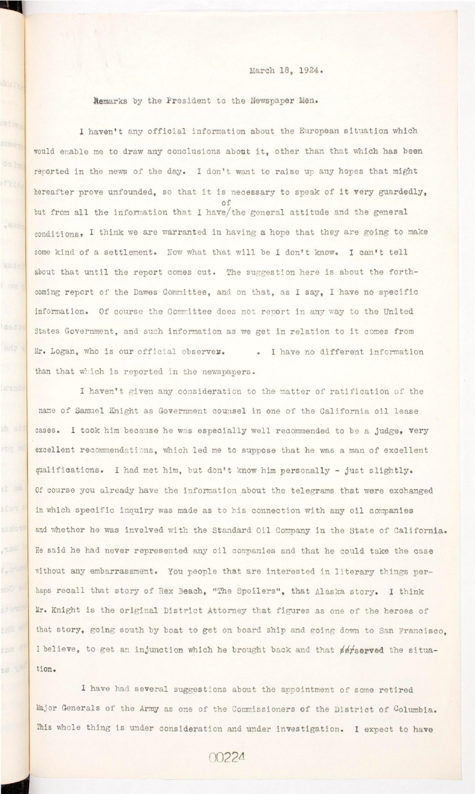March 18, 1924.

**Remarks by the President to the Newspaper Men.** 

.820

abde

tasdue

enti a

Nar,

s, byso

 $f$  on  $e^{f}$ 

IS V<sup>80</sup>

I haven't any official information about the European situation which would enable me to draw any conclusions about it, other than that which has been reported in the news of the day. I don't want to raise up any hopes that might hereafter prove unfounded, so that it is necessary to speak of it very guardedly, but from all the information that I have/the general attitude and the general some kind of a settlement. Now what that will be I don't know. I can't tell coming report of the Dawes Committee, and on that, as I say, I have no specific States Government, and such information as we get in relation to it comes from Mr. Logan, who is our official observer. . I have no different information than that which is reported in the newspapers.

I haven't given any consideration to the matter of ratification of the name of Samuel Knight as Government counsel in one of the California oil lease excellent recommendations, which led me to suppose that he was a man of excellent qualifications. I had met him, but don't know him personally - just slightly. Of course you already have the information about the telegrams that were exchanged in which specific inquiry was made as to his connection with any oil companies and whether he was involved with the Standard Oil Company in the State of California. He said he had never represented any oil companies and that he could take the case without any embarrassment. You people that are interested in literary things perhaps recall that story of Rex Beach, "The Spoilers", that Alaska story. I think

Mr. Knight is the original District Attorney that figures as one of the heroes of that story, going south by boat to get on board ship and going down to San Francisco. **that story, going south by boat to get on board ship and going down to San Francisco,**  I believe, to get an injunction which he brought back and that serserved the situation.

I have had several suggestions about the appointment of some retired

**This whole thing i s under consideration and under investigation. I expect to have** 

00224